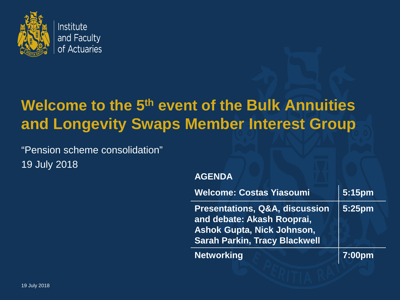

# **Welcome to the 5th event of the Bulk Annuities and Longevity Swaps Member Interest Group**

"Pension scheme consolidation" 19 July 2018

#### **AGENDA**

| <b>Welcome: Costas Yiasoumi</b>                                                                                                                      | 5:15pm |
|------------------------------------------------------------------------------------------------------------------------------------------------------|--------|
| <b>Presentations, Q&amp;A, discussion</b><br>and debate: Akash Rooprai,<br><b>Ashok Gupta, Nick Johnson,</b><br><b>Sarah Parkin, Tracy Blackwell</b> | 5:25pm |
| <b>Networking</b>                                                                                                                                    | 7:00pm |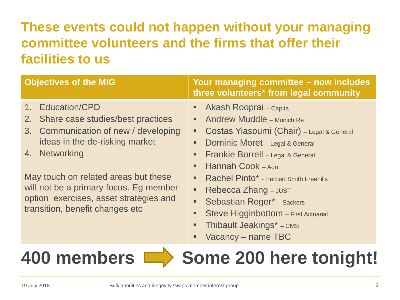# **These events could not happen without your managing committee volunteers and the firms that offer their facilities to us**

| <b>Objectives of the MIG</b>                                                                                                                                                                                                                                                                                       | Your managing committee - now includes<br>three volunteers* from legal community                                                                                                                                                                                                                                                                                                                                                                                                  |
|--------------------------------------------------------------------------------------------------------------------------------------------------------------------------------------------------------------------------------------------------------------------------------------------------------------------|-----------------------------------------------------------------------------------------------------------------------------------------------------------------------------------------------------------------------------------------------------------------------------------------------------------------------------------------------------------------------------------------------------------------------------------------------------------------------------------|
| 1. Education/CPD<br>2. Share case studies/best practices<br>3. Communication of new / developing<br>ideas in the de-risking market<br>4. Networking<br>May touch on related areas but these<br>will not be a primary focus. Eg member<br>option exercises, asset strategies and<br>transition, benefit changes etc | Akash Rooprai - Capita<br><b>Andrew Muddle - Munich Re</b><br>■<br>Costas Yiasoumi (Chair) - Legal & General<br>٠<br>Dominic Moret - Legal & General<br>ш<br>Frankie Borrell - Legal & General<br>$\blacksquare$<br>Hannah Cook - Aon<br>ш<br>Rachel Pinto* - Herbert Smith Freehills<br>■<br>Rebecca Zhang - JUST<br>ш<br><b>Sebastian Reger* - Sackers</b><br>Ξ<br>Steve Higginbottom - First Actuarial<br>■<br><b>Thibault Jeakings*</b> – CMS<br>о<br>Vacancy – name TBC<br>п |

# **400 members Some 200 here tonight!**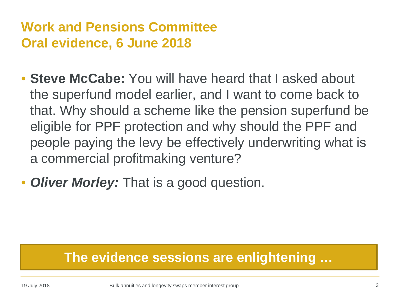# **Work and Pensions Committee Oral evidence, 6 June 2018**

- **Steve McCabe:** You will have heard that I asked about the superfund model earlier, and I want to come back to that. Why should a scheme like the pension superfund be eligible for PPF protection and why should the PPF and people paying the levy be effectively underwriting what is a commercial profitmaking venture?
- *Oliver Morley:* That is a good question.

### **The evidence sessions are enlightening …**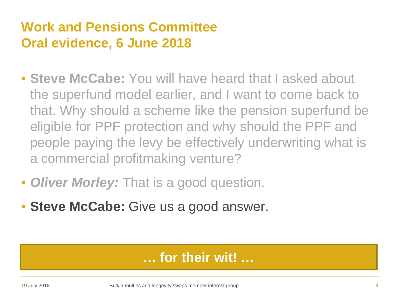# **Work and Pensions Committee Oral evidence, 6 June 2018**

- **Steve McCabe:** You will have heard that I asked about the superfund model earlier, and I want to come back to that. Why should a scheme like the pension superfund be eligible for PPF protection and why should the PPF and people paying the levy be effectively underwriting what is a commercial profitmaking venture?
- *Oliver Morley:* That is a good question.
- **Steve McCabe:** Give us a good answer.

### **… for their wit! …**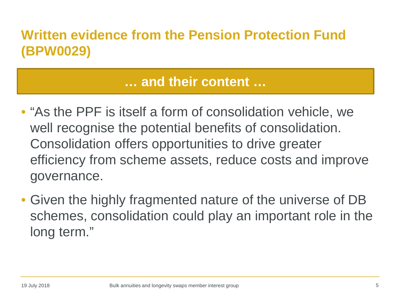# **Written evidence from the Pension Protection Fund (BPW0029)**

### **… and their content …**

- "As the PPF is itself a form of consolidation vehicle, we well recognise the potential benefits of consolidation. Consolidation offers opportunities to drive greater efficiency from scheme assets, reduce costs and improve governance.
- Given the highly fragmented nature of the universe of DB schemes, consolidation could play an important role in the long term."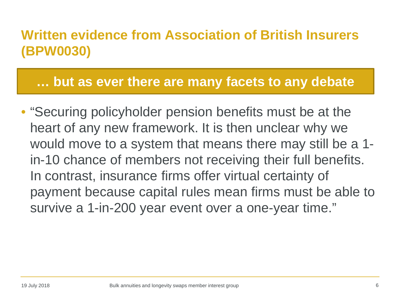# **Written evidence from Association of British Insurers (BPW0030)**

**… but as ever there are many facets to any debate**

• "Securing policyholder pension benefits must be at the heart of any new framework. It is then unclear why we would move to a system that means there may still be a 1 in-10 chance of members not receiving their full benefits. In contrast, insurance firms offer virtual certainty of payment because capital rules mean firms must be able to survive a 1-in-200 year event over a one-year time."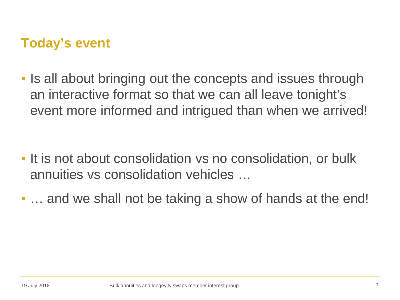### **Today's event**

• Is all about bringing out the concepts and issues through an interactive format so that we can all leave tonight's event more informed and intrigued than when we arrived!

- It is not about consolidation vs no consolidation, or bulk annuities vs consolidation vehicles …
- ... and we shall not be taking a show of hands at the end!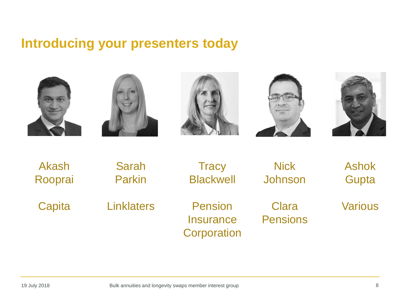### **Introducing your presenters today**











| Akash   | <b>Sarah</b>      | <b>Tracy</b>                               | <b>Nick</b>              | <b>Ashok</b>   |
|---------|-------------------|--------------------------------------------|--------------------------|----------------|
| Rooprai | <b>Parkin</b>     | <b>Blackwell</b>                           | Johnson                  | Gupta          |
| Capita  | <b>Linklaters</b> | Pension<br><b>Insurance</b><br>Corporation | Clara<br><b>Pensions</b> | <b>Various</b> |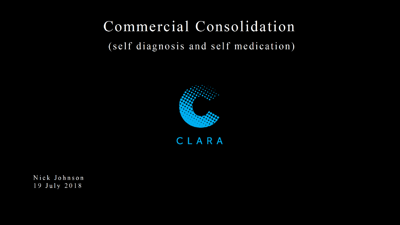# Commercial Consolidation

(self diagnosis and self medication)



Nick Johnson 19 July 2018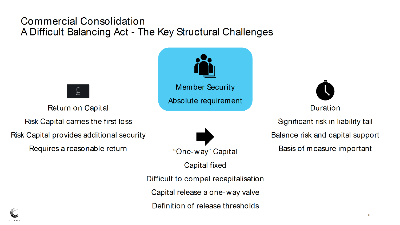# **Commercial Consolidation** A Difficult Balancing Act - The Key Structural Challenges

Return on Capital

Risk Capital carries the first loss

Risk Capital provides additional security

Requires a reasonable return





**Capital fixed** 

Difficult to compel recapitalisation

Capital release a one-way valve

Definition of release thresholds



Duration

Significant risk in liability tail

Balance risk and capital support

Basis of measure important

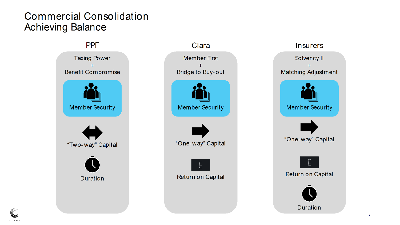## **Commercial Consolidation Achieving Balance**

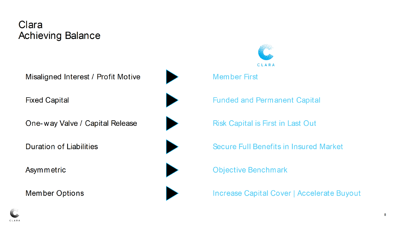# Clara **Achieving Balance**

Misaligned Interest / Profit Motive **Fixed Capital** One-way Valve / Capital Release **Duration of Liabilities** Asymmetric

**Member Options** 





**Member First** 

**Funded and Permanent Capital** 

**Risk Capital is First in Last Out** 

Secure Full Benefits in Insured Market

**Objective Benchmark** 

**Increase Capital Cover | Accelerate Buyout** 

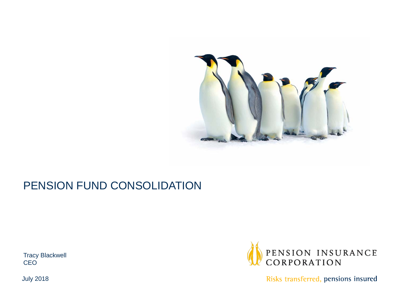

#### PENSION FUND CONSOLIDATION

Tracy Blackwell CEO



Risks transferred, pensions insured

July 2018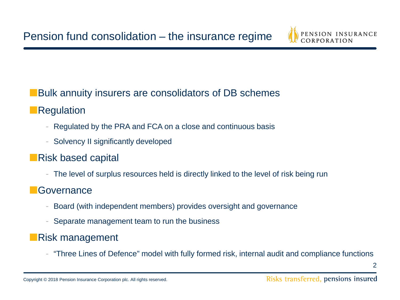

#### **■**Bulk annuity insurers are consolidators of DB schemes

#### **■**Regulation

- Regulated by the PRA and FCA on a close and continuous basis
- Solvency II significantly developed

#### **■**Risk based capital

- The level of surplus resources held is directly linked to the level of risk being run

#### **■**Governance

- Board (with independent members) provides oversight and governance
- Separate management team to run the business

#### **■**Risk management

- "Three Lines of Defence" model with fully formed risk, internal audit and compliance functions

2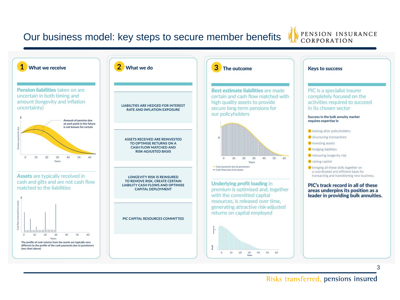#### Our business model: key steps to secure member benefits





#### Risks transferred, pensions insured

3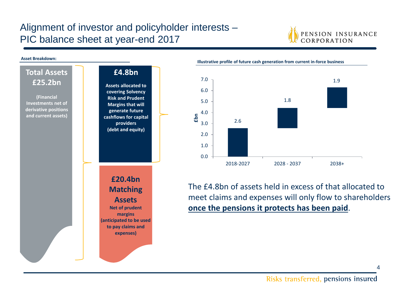#### Alignment of investor and policyholder interests – PIC balance sheet at year-end 2017



#### **Asset Breakdown:**





The £4.8bn of assets held in excess of that allocated to meet claims and expenses will only flow to shareholders **once the pensions it protects has been paid**.

4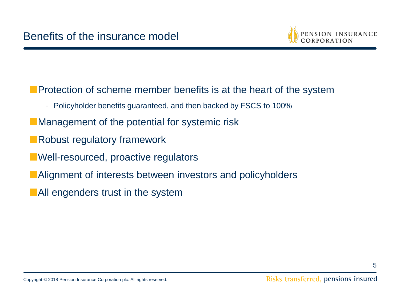

**Protection of scheme member benefits is at the heart of the system** 

- Policyholder benefits guaranteed, and then backed by FSCS to 100%
- **■**Management of the potential for systemic risk
- **■**Robust regulatory framework
- **■**Well-resourced, proactive regulators
- **■**Alignment of interests between investors and policyholders
- **■**All engenders trust in the system